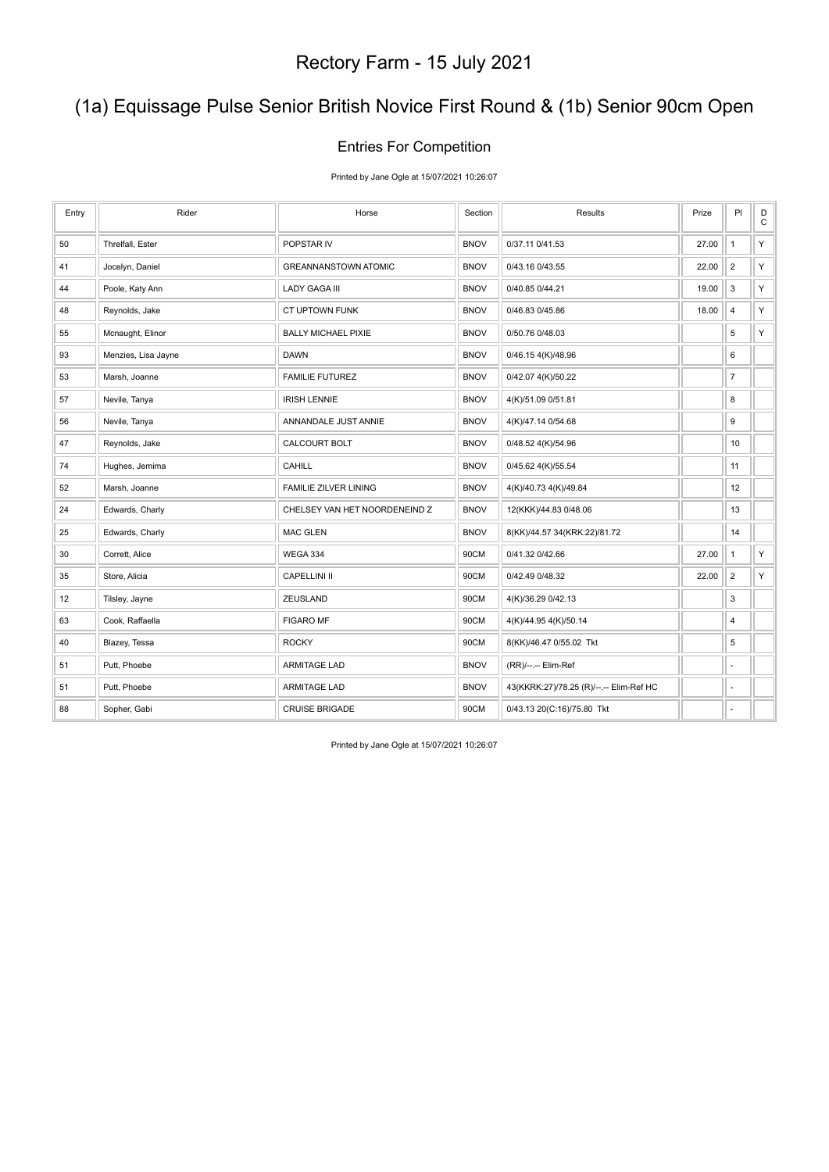# (1a) Equissage Pulse Senior British Novice First Round & (1b) Senior 90cm Open

### Entries For Competition

Printed by Jane Ogle at 15/07/2021 10:26:07

| Entry | Rider               | Horse                         | Section     | Results                                 | Prize | PI                      | $_{\rm C}^{\rm D}$ |
|-------|---------------------|-------------------------------|-------------|-----------------------------------------|-------|-------------------------|--------------------|
| 50    | Threlfall, Ester    | POPSTAR IV                    | <b>BNOV</b> | 0/37.11 0/41.53                         | 27.00 | $\mathbf{1}$            | Y                  |
| 41    | Jocelyn, Daniel     | <b>GREANNANSTOWN ATOMIC</b>   | <b>BNOV</b> | 0/43.16 0/43.55                         | 22.00 | $\overline{2}$          | Y                  |
| 44    | Poole, Katy Ann     | <b>LADY GAGA III</b>          | <b>BNOV</b> | 0/40.85 0/44.21                         | 19.00 | $\mathsf 3$             | Y.                 |
| 48    | Reynolds, Jake      | CT UPTOWN FUNK                | <b>BNOV</b> | 0/46.83 0/45.86                         | 18.00 | $\overline{\mathbf{4}}$ | Y.                 |
| 55    | Mcnaught, Elinor    | <b>BALLY MICHAEL PIXIE</b>    | <b>BNOV</b> | 0/50.76 0/48.03                         |       | 5                       | Y                  |
| 93    | Menzies, Lisa Jayne | <b>DAWN</b>                   | <b>BNOV</b> | 0/46.15 4(K)/48.96                      |       | 6                       |                    |
| 53    | Marsh, Joanne       | <b>FAMILIE FUTUREZ</b>        | <b>BNOV</b> | 0/42.07 4(K)/50.22                      |       | $\overline{7}$          |                    |
| 57    | Nevile, Tanya       | <b>IRISH LENNIE</b>           | <b>BNOV</b> | 4(K)/51.09 0/51.81                      |       | 8                       |                    |
| 56    | Nevile, Tanya       | ANNANDALE JUST ANNIE          | <b>BNOV</b> | 4(K)/47.14 0/54.68                      |       | 9                       |                    |
| 47    | Reynolds, Jake      | CALCOURT BOLT                 | <b>BNOV</b> | 0/48.52 4(K)/54.96                      |       | 10                      |                    |
| 74    | Hughes, Jemima      | CAHILL                        | <b>BNOV</b> | 0/45.62 4(K)/55.54                      |       | 11                      |                    |
| 52    | Marsh, Joanne       | <b>FAMILIE ZILVER LINING</b>  | <b>BNOV</b> | 4(K)/40.73 4(K)/49.84                   |       | 12                      |                    |
| 24    | Edwards, Charly     | CHELSEY VAN HET NOORDENEIND Z | <b>BNOV</b> | 12(KKK)/44.83 0/48.06                   |       | 13                      |                    |
| 25    | Edwards, Charly     | MAC GLEN                      | <b>BNOV</b> | 8(KK)/44.57 34(KRK:22)/81.72            |       | 14                      |                    |
| 30    | Corrett, Alice      | <b>WEGA 334</b>               | 90CM        | 0/41.32 0/42.66                         | 27.00 | $\mathbf{1}$            | Y                  |
| 35    | Store, Alicia       | <b>CAPELLINI II</b>           | 90CM        | 0/42.49 0/48.32                         | 22.00 | $\overline{2}$          | Y.                 |
| 12    | Tilsley, Jayne      | ZEUSLAND                      | 90CM        | 4(K)/36.29 0/42.13                      |       | 3                       |                    |
| 63    | Cook, Raffaella     | <b>FIGARO MF</b>              | 90CM        | 4(K)/44.95 4(K)/50.14                   |       | 4                       |                    |
| 40    | Blazey, Tessa       | <b>ROCKY</b>                  | 90CM        | 8(KK)/46.47 0/55.02 Tkt                 |       | 5                       |                    |
| 51    | Putt, Phoebe        | <b>ARMITAGE LAD</b>           | <b>BNOV</b> | (RR)/--.-- Elim-Ref                     |       | ÷,                      |                    |
| 51    | Putt, Phoebe        | <b>ARMITAGE LAD</b>           | <b>BNOV</b> | 43(KKRK:27)/78.25 (R)/--.-- Elim-Ref HC |       | ÷,                      |                    |
| 88    | Sopher, Gabi        | <b>CRUISE BRIGADE</b>         | 90CM        | 0/43.13 20(C:16)/75.80 Tkt              |       | ä,                      |                    |

Printed by Jane Ogle at 15/07/2021 10:26:07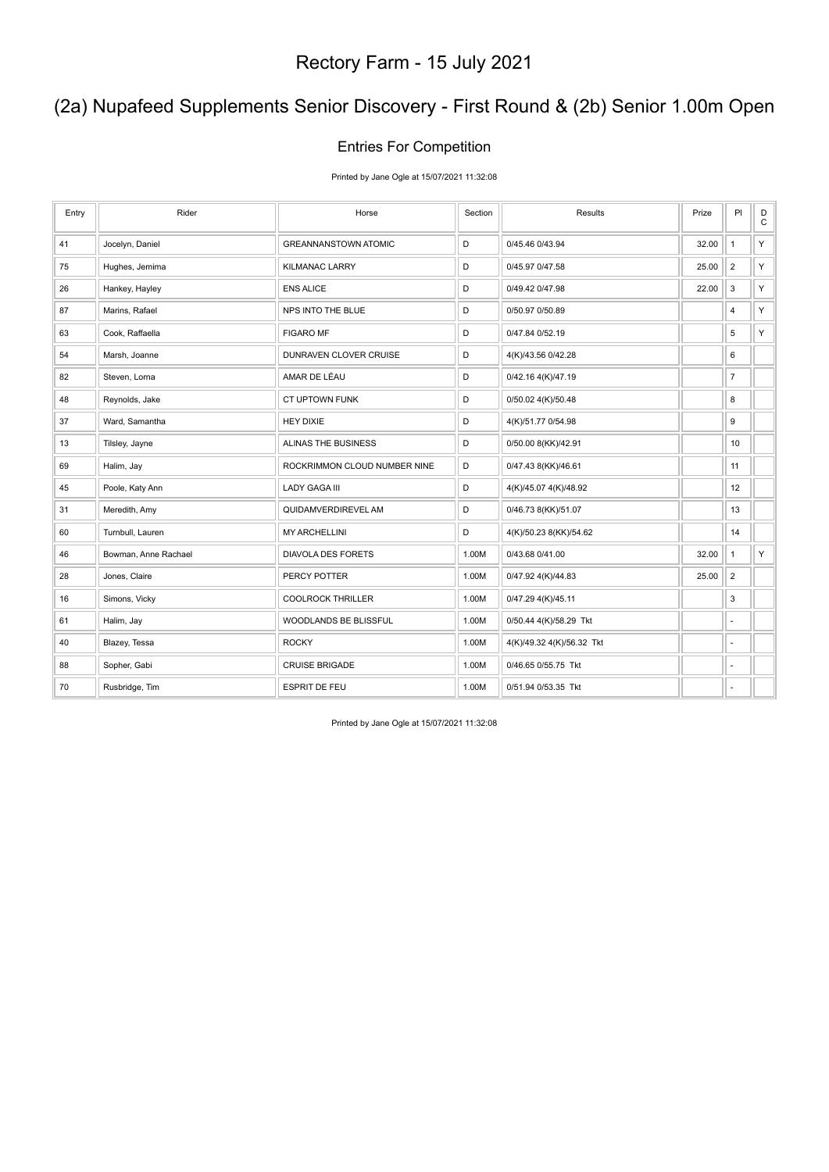# (2a) Nupafeed Supplements Senior Discovery - First Round & (2b) Senior 1.00m Open

### Entries For Competition

Printed by Jane Ogle at 15/07/2021 11:32:08

| Entry | Rider                | Horse                        | Section | Results                   | Prize | PI             | $_{\rm C}^{\rm D}$ |
|-------|----------------------|------------------------------|---------|---------------------------|-------|----------------|--------------------|
| 41    | Jocelyn, Daniel      | <b>GREANNANSTOWN ATOMIC</b>  | D       | 0/45.46 0/43.94           | 32.00 | $\mathbf{1}$   | Y                  |
| 75    | Hughes, Jemima       | <b>KILMANAC LARRY</b>        | D       | 0/45.97 0/47.58           | 25.00 | $\overline{2}$ | Υ                  |
| 26    | Hankey, Hayley       | <b>ENS ALICE</b>             | D       | 0/49.42 0/47.98           | 22.00 | $\mathbf{3}$   | Y                  |
| 87    | Marins, Rafael       | NPS INTO THE BLUE            | D       | 0/50.97 0/50.89           |       | 4              | Y                  |
| 63    | Cook, Raffaella      | <b>FIGARO MF</b>             | D       | 0/47.84 0/52.19           |       | 5              | Y                  |
| 54    | Marsh, Joanne        | DUNRAVEN CLOVER CRUISE       | D       | 4(K)/43.56 0/42.28        |       | 6              |                    |
| 82    | Steven, Lorna        | AMAR DE LÉAU                 | D       | 0/42.16 4(K)/47.19        |       | $\overline{7}$ |                    |
| 48    | Reynolds, Jake       | CT UPTOWN FUNK               | D       | 0/50.02 4(K)/50.48        |       | 8              |                    |
| 37    | Ward, Samantha       | HEY DIXIE                    | D       | 4(K)/51.77 0/54.98        |       | 9              |                    |
| 13    | Tilsley, Jayne       | ALINAS THE BUSINESS          | D       | 0/50.00 8(KK)/42.91       |       | 10             |                    |
| 69    | Halim, Jay           | ROCKRIMMON CLOUD NUMBER NINE | D       | 0/47.43 8(KK)/46.61       |       | 11             |                    |
| 45    | Poole, Katy Ann      | <b>LADY GAGA III</b>         | D       | 4(K)/45.07 4(K)/48.92     |       | 12             |                    |
| 31    | Meredith, Amy        | QUIDAMVERDIREVEL AM          | D       | 0/46.73 8(KK)/51.07       |       | 13             |                    |
| 60    | Turnbull, Lauren     | <b>MY ARCHELLINI</b>         | D       | 4(K)/50.23 8(KK)/54.62    |       | 14             |                    |
| 46    | Bowman, Anne Rachael | <b>DIAVOLA DES FORETS</b>    | 1.00M   | 0/43.68 0/41.00           | 32.00 | $\mathbf{1}$   | Y                  |
| 28    | Jones, Claire        | PERCY POTTER                 | 1.00M   | 0/47.92 4(K)/44.83        | 25.00 | $\overline{2}$ |                    |
| 16    | Simons, Vicky        | <b>COOLROCK THRILLER</b>     | 1.00M   | 0/47.29 4(K)/45.11        |       | 3              |                    |
| 61    | Halim, Jay           | WOODLANDS BE BLISSFUL        | 1.00M   | 0/50.44 4(K)/58.29 Tkt    |       | ÷.             |                    |
| 40    | Blazey, Tessa        | <b>ROCKY</b>                 | 1.00M   | 4(K)/49.32 4(K)/56.32 Tkt |       | ä,             |                    |
| 88    | Sopher, Gabi         | <b>CRUISE BRIGADE</b>        | 1.00M   | 0/46.65 0/55.75 Tkt       |       | ÷,             |                    |
| 70    | Rusbridge, Tim       | <b>ESPRIT DE FEU</b>         | 1.00M   | 0/51.94 0/53.35 Tkt       |       | ٠              |                    |

Printed by Jane Ogle at 15/07/2021 11:32:08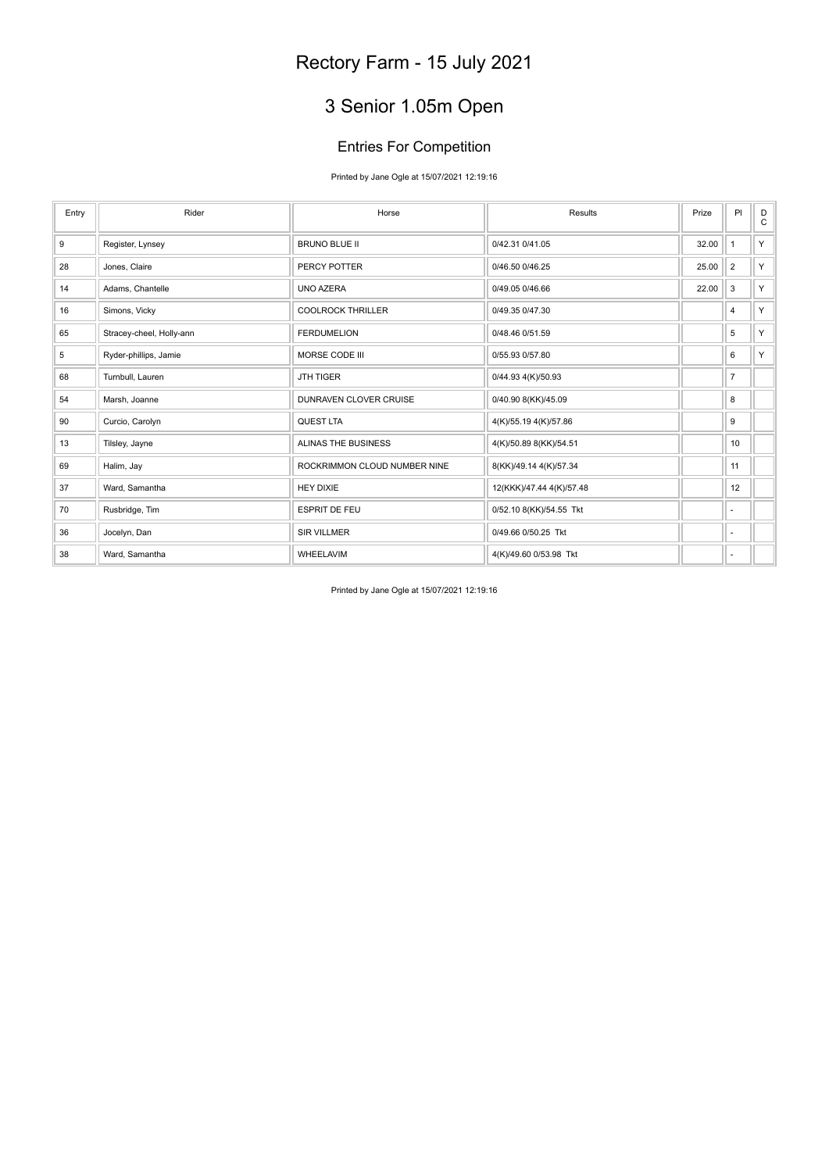# 3 Senior 1.05m Open

### Entries For Competition

Printed by Jane Ogle at 15/07/2021 12:19:16

| Entry | Rider                    | Horse                        | Results                  | Prize | PI             | D<br>$\mathbf C$ |
|-------|--------------------------|------------------------------|--------------------------|-------|----------------|------------------|
| 9     | Register, Lynsey         | <b>BRUNO BLUE II</b>         | 0/42.31 0/41.05          | 32.00 | $\mathbf{1}$   | Y                |
| 28    | Jones, Claire            | PERCY POTTER                 | 0/46.50 0/46.25          | 25.00 | $\overline{2}$ | Y.               |
| 14    | Adams, Chantelle         | <b>UNO AZERA</b>             | 0/49.05 0/46.66          | 22.00 | 3              | Y.               |
| 16    | Simons, Vicky            | <b>COOLROCK THRILLER</b>     | 0/49.35 0/47.30          |       | $\overline{4}$ | Y                |
| 65    | Stracey-cheel, Holly-ann | <b>FERDUMELION</b>           | 0/48.46 0/51.59          |       | 5              | Y                |
| 5     | Ryder-phillips, Jamie    | MORSE CODE III               | 0/55.93 0/57.80          |       | 6              | Y.               |
| 68    | Turnbull, Lauren         | <b>JTH TIGER</b>             | 0/44.93 4(K)/50.93       |       | $\overline{7}$ |                  |
| 54    | Marsh, Joanne            | DUNRAVEN CLOVER CRUISE       | 0/40.90 8(KK)/45.09      |       | 8              |                  |
| 90    | Curcio, Carolyn          | <b>QUEST LTA</b>             | 4(K)/55.19 4(K)/57.86    |       | 9              |                  |
| 13    | Tilsley, Jayne           | <b>ALINAS THE BUSINESS</b>   | 4(K)/50.89 8(KK)/54.51   |       | 10             |                  |
| 69    | Halim, Jay               | ROCKRIMMON CLOUD NUMBER NINE | 8(KK)/49.14 4(K)/57.34   |       | 11             |                  |
| 37    | Ward, Samantha           | <b>HEY DIXIE</b>             | 12(KKK)/47.44 4(K)/57.48 |       | 12             |                  |
| 70    | Rusbridge, Tim           | <b>ESPRIT DE FEU</b>         | 0/52.10 8(KK)/54.55 Tkt  |       | $\sim$         |                  |
| 36    | Jocelyn, Dan             | <b>SIR VILLMER</b>           | 0/49.66 0/50.25 Tkt      |       | $\sim$         |                  |
| 38    | Ward, Samantha           | WHEELAVIM                    | 4(K)/49.60 0/53.98 Tkt   |       | ٠              |                  |

Printed by Jane Ogle at 15/07/2021 12:19:16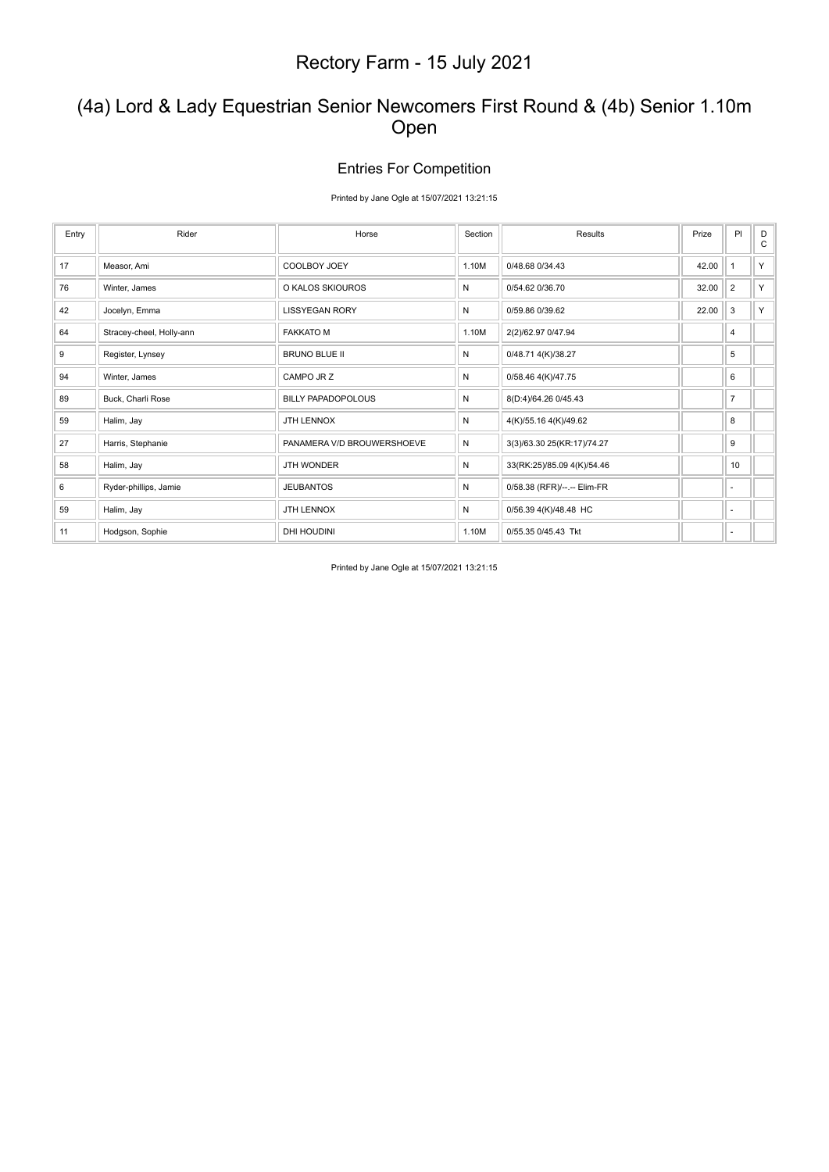### (4a) Lord & Lady Equestrian Senior Newcomers First Round & (4b) Senior 1.10m Open

#### Entries For Competition

Printed by Jane Ogle at 15/07/2021 13:21:15

| Entry | Rider                    | Horse                      | Section | Results                     | Prize | PI             | D<br>C |
|-------|--------------------------|----------------------------|---------|-----------------------------|-------|----------------|--------|
| 17    | Measor, Ami              | <b>COOLBOY JOEY</b>        | 1.10M   | 0/48.68 0/34.43             | 42.00 | $\mathbf{1}$   | Y      |
| 76    | Winter, James            | O KALOS SKIOUROS           | N       | 0/54.62 0/36.70             | 32.00 | $\overline{2}$ | Y.     |
| 42    | Jocelyn, Emma            | <b>LISSYEGAN RORY</b>      | N       | 0/59.86 0/39.62             | 22.00 | $\mathbf{3}$   | Y      |
| 64    | Stracey-cheel, Holly-ann | <b>FAKKATO M</b>           | 1.10M   | 2(2)/62.97 0/47.94          |       | 4              |        |
| 9     | Register, Lynsey         | <b>BRUNO BLUE II</b>       | N       | 0/48.71 4(K)/38.27          |       | 5              |        |
| 94    | Winter, James            | CAMPO JR Z                 | N       | 0/58.46 4(K)/47.75          |       | 6              |        |
| 89    | Buck, Charli Rose        | <b>BILLY PAPADOPOLOUS</b>  | N       | 8(D:4)/64.26 0/45.43        |       | 7              |        |
| 59    | Halim, Jay               | JTH LENNOX                 | N       | 4(K)/55.16 4(K)/49.62       |       | 8              |        |
| 27    | Harris, Stephanie        | PANAMERA V/D BROUWERSHOEVE | N       | 3(3)/63.30 25(KR:17)/74.27  |       | 9              |        |
| 58    | Halim, Jay               | <b>JTH WONDER</b>          | N       | 33(RK:25)/85.09 4(K)/54.46  |       | 10             |        |
| 6     | Ryder-phillips, Jamie    | <b>JEUBANTOS</b>           | N       | 0/58.38 (RFR)/--.-- Elim-FR |       | ٠              |        |
| 59    | Halim, Jay               | <b>JTH LENNOX</b>          | N       | 0/56.39 4(K)/48.48 HC       |       | ٠              |        |
| 11    | Hodgson, Sophie          | <b>DHI HOUDINI</b>         | 1.10M   | 0/55.35 0/45.43 Tkt         |       | ٠              |        |

Printed by Jane Ogle at 15/07/2021 13:21:15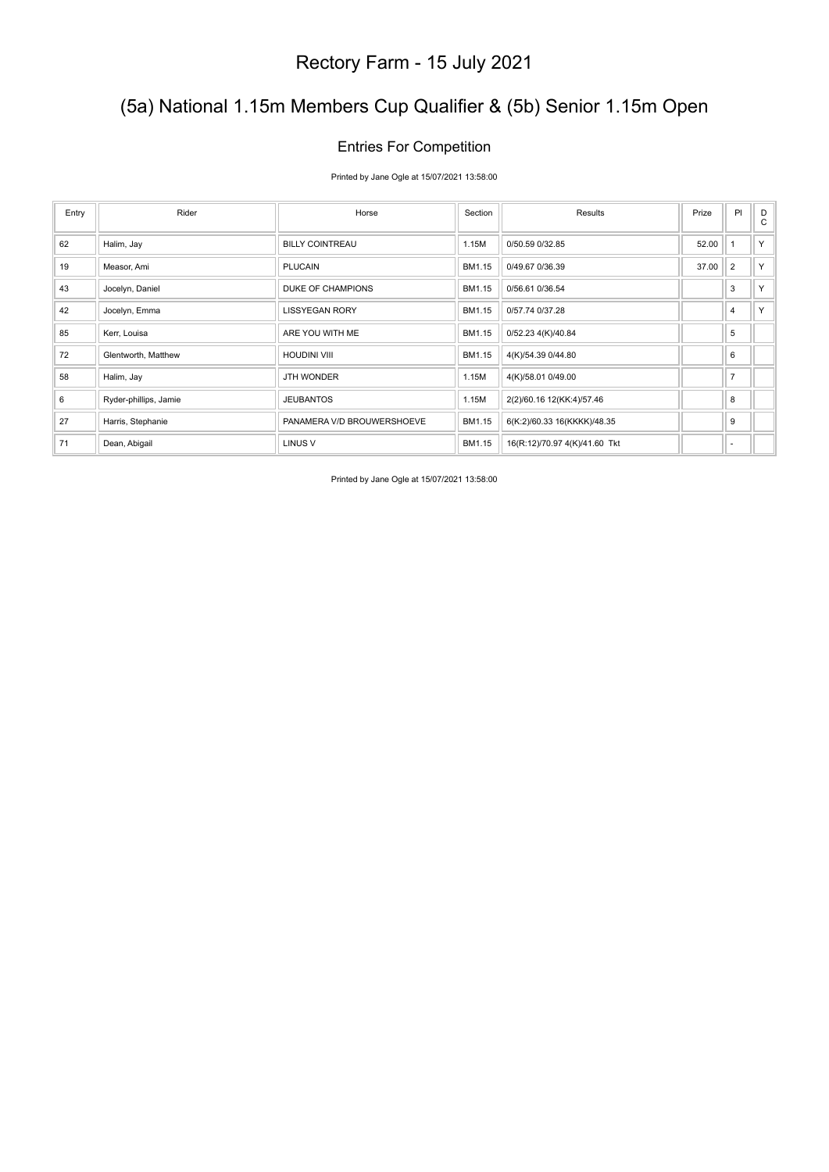# (5a) National 1.15m Members Cup Qualifier & (5b) Senior 1.15m Open

### Entries For Competition

Printed by Jane Ogle at 15/07/2021 13:58:00

| Entry | Rider                 | Horse                      | Section | Results                       | Prize | PI             | D<br>C |
|-------|-----------------------|----------------------------|---------|-------------------------------|-------|----------------|--------|
| 62    | Halim, Jay            | <b>BILLY COINTREAU</b>     | 1.15M   | 0/50.59 0/32.85               | 52.00 |                | Y.     |
| 19    | Measor, Ami           | <b>PLUCAIN</b>             | BM1.15  | 0/49.67 0/36.39               | 37.00 | $\overline{2}$ | Y.     |
| 43    | Jocelyn, Daniel       | DUKE OF CHAMPIONS          | BM1.15  | 0/56.61 0/36.54               |       | 3              | Y.     |
| 42    | Jocelyn, Emma         | <b>LISSYEGAN RORY</b>      | BM1.15  | 0/57.74 0/37.28               |       | 4              | Y      |
| 85    | Kerr, Louisa          | ARE YOU WITH ME            | BM1.15  | 0/52.23 4(K)/40.84            |       | 5              |        |
| 72    | Glentworth, Matthew   | <b>HOUDINI VIII</b>        | BM1.15  | 4(K)/54.39 0/44.80            |       | 6              |        |
| 58    | Halim, Jay            | <b>JTH WONDER</b>          | 1.15M   | 4(K)/58.01 0/49.00            |       | $\overline{7}$ |        |
| 6     | Ryder-phillips, Jamie | <b>JEUBANTOS</b>           | 1.15M   | 2(2)/60.16 12(KK:4)/57.46     |       | 8              |        |
| 27    | Harris, Stephanie     | PANAMERA V/D BROUWERSHOEVE | BM1.15  | 6(K:2)/60.33 16(KKKK)/48.35   |       | 9              |        |
| 71    | Dean, Abigail         | <b>LINUS V</b>             | BM1.15  | 16(R:12)/70.97 4(K)/41.60 Tkt |       | ٠              |        |

Printed by Jane Ogle at 15/07/2021 13:58:00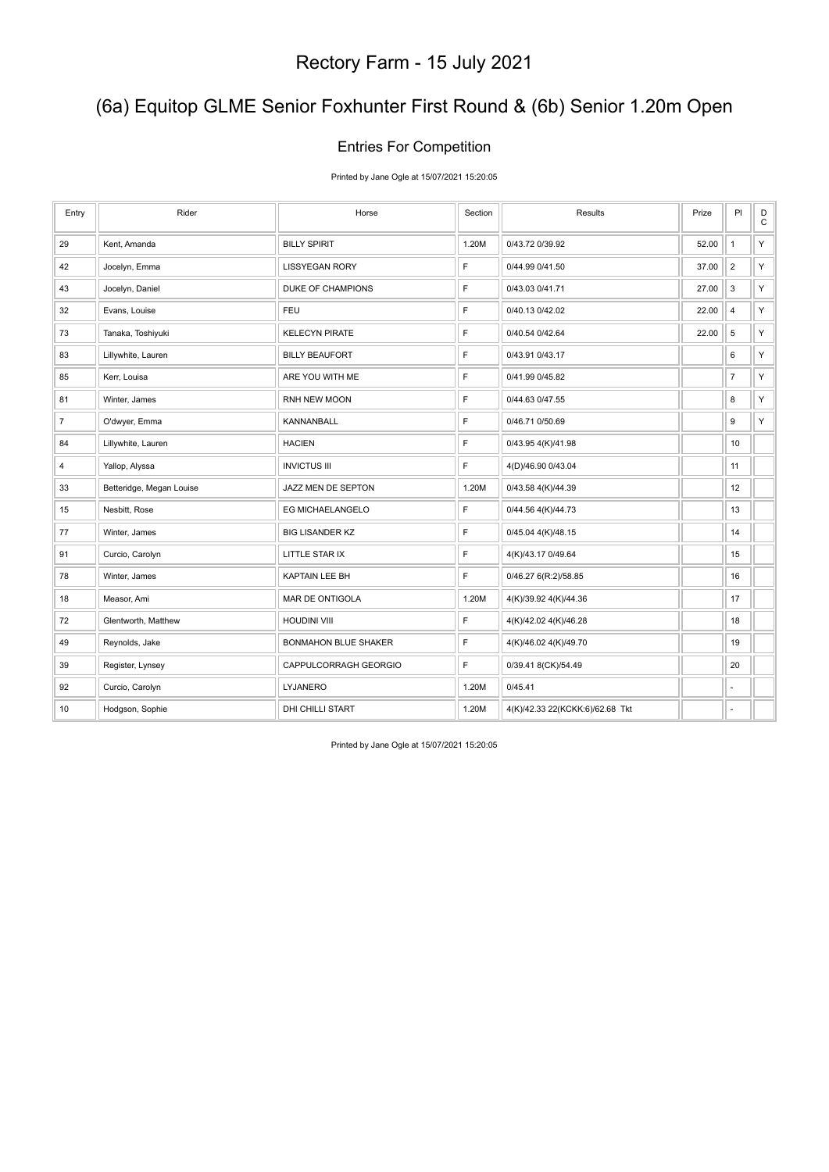# (6a) Equitop GLME Senior Foxhunter First Round & (6b) Senior 1.20m Open

### Entries For Competition

Printed by Jane Ogle at 15/07/2021 15:20:05

| Entry          | Rider                    | Horse                       | Section | Results                         | Prize | PI                      | $_{\rm C}^{\rm D}$ |
|----------------|--------------------------|-----------------------------|---------|---------------------------------|-------|-------------------------|--------------------|
| 29             | Kent, Amanda             | <b>BILLY SPIRIT</b>         | 1.20M   | 0/43.72 0/39.92                 | 52.00 | $\mathbf{1}$            | Y                  |
| 42             | Jocelyn, Emma            | <b>LISSYEGAN RORY</b>       | F       | 0/44.99 0/41.50                 | 37.00 | $\overline{2}$          | Y.                 |
| 43             | Jocelyn, Daniel          | DUKE OF CHAMPIONS           | F       | 0/43.03 0/41.71                 | 27.00 | 3                       | Y.                 |
| 32             | Evans, Louise            | <b>FEU</b>                  | F       | 0/40.13 0/42.02                 | 22.00 | $\overline{\mathbf{4}}$ | Y                  |
| 73             | Tanaka, Toshiyuki        | <b>KELECYN PIRATE</b>       | F       | 0/40.54 0/42.64                 | 22.00 | $\,$ 5 $\,$             | Y                  |
| 83             | Lillywhite, Lauren       | <b>BILLY BEAUFORT</b>       | F       | 0/43.91 0/43.17                 |       | 6                       | Y                  |
| 85             | Kerr, Louisa             | ARE YOU WITH ME             | F       | 0/41.99 0/45.82                 |       | $\overline{7}$          | Y                  |
| 81             | Winter, James            | RNH NEW MOON                | F       | 0/44.63 0/47.55                 |       | 8                       | Y.                 |
| $\overline{7}$ | O'dwyer, Emma            | <b>KANNANBALL</b>           | F       | 0/46.71 0/50.69                 |       | 9                       | Y                  |
| 84             | Lillywhite, Lauren       | <b>HACIEN</b>               | F       | 0/43.95 4(K)/41.98              |       | 10                      |                    |
| 4              | Yallop, Alyssa           | <b>INVICTUS III</b>         | F       | 4(D)/46.90 0/43.04              |       | 11                      |                    |
| 33             | Betteridge, Megan Louise | JAZZ MEN DE SEPTON          | 1.20M   | 0/43.58 4(K)/44.39              |       | 12                      |                    |
| 15             | Nesbitt, Rose            | EG MICHAELANGELO            | F       | 0/44.56 4(K)/44.73              |       | 13                      |                    |
| 77             | Winter, James            | <b>BIG LISANDER KZ</b>      | F       | 0/45.04 4(K)/48.15              |       | 14                      |                    |
| 91             | Curcio, Carolyn          | LITTLE STAR IX              | F       | 4(K)/43.17 0/49.64              |       | 15                      |                    |
| 78             | Winter, James            | <b>KAPTAIN LEE BH</b>       | F       | 0/46.27 6(R:2)/58.85            |       | 16                      |                    |
| 18             | Measor, Ami              | <b>MAR DE ONTIGOLA</b>      | 1.20M   | 4(K)/39.92 4(K)/44.36           |       | 17                      |                    |
| 72             | Glentworth, Matthew      | <b>HOUDINI VIII</b>         | F       | 4(K)/42.02 4(K)/46.28           |       | 18                      |                    |
| 49             | Reynolds, Jake           | <b>BONMAHON BLUE SHAKER</b> | F       | 4(K)/46.02 4(K)/49.70           |       | 19                      |                    |
| 39             | Register, Lynsey         | CAPPULCORRAGH GEORGIO       | F       | 0/39.41 8(CK)/54.49             |       | 20                      |                    |
| 92             | Curcio, Carolyn          | LYJANERO                    | 1.20M   | 0/45.41                         |       | ÷,                      |                    |
| 10             | Hodgson, Sophie          | <b>DHI CHILLI START</b>     | 1.20M   | 4(K)/42.33 22(KCKK:6)/62.68 Tkt |       | ä,                      |                    |

Printed by Jane Ogle at 15/07/2021 15:20:05